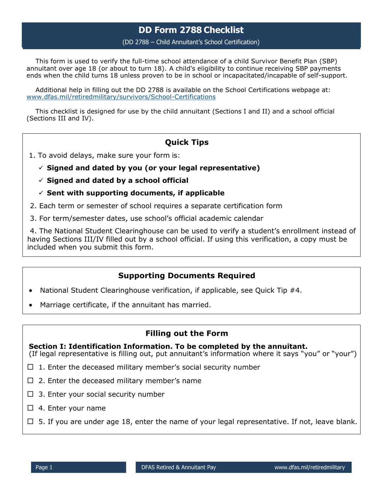# **DD Form 2788 Checklist**

#### (DD 2788 – Child Annuitant's School Certification)

This form is used to verify the full-time school attendance of a child Survivor Benefit Plan (SBP) annuitant over age 18 (or about to turn 18). A child's eligibility to continue receiving SBP payments ends when the child turns 18 unless proven to be in school or incapacitated/incapable of self-support.

Additional help in filling out the DD 2788 is available on the School Certifications webpage at: [www.dfas.mil/retiredmilitary/survivors/School](http://www.dfas.mil/retiredmilitary/survivors/School-Certifications)-Certifications

This checklist is designed for use by the child annuitant (Sections I and II) and a school official (Sections III and IV).

## **Quick Tips**

- 1. To avoid delays, make sure your form is:
	- **Signed and dated by you (or your legal representative)**
	- **Signed and dated by a school official**
	- $\checkmark$  Sent with supporting documents, if applicable
- 2. Each term or semester of school requires a separate certification form
- 3. For term/semester dates, use school's official academic calendar

4. The National Student Clearinghouse can be used to verify a student's enrollment instead of having Sections III/IV filled out by a school official. If using this verification, a copy must be included when you submit this form.

## **Supporting Documents Required**

- National Student Clearinghouse verification, if applicable, see Quick Tip #4.
- Marriage certificate, if the annuitant has married.

### **Filling out the Form**

**Section I: Identification Information. To be completed by the annuitant.**  (If legal representative is filling out, put annuitant's information where it says "you" or "your")

- $\Box$  1. Enter the deceased military member's social security number
- $\Box$  2. Enter the deceased military member's name
- $\Box$  3. Enter your social security number
- $\Box$  4. Enter your name
- $\Box$  5. If you are under age 18, enter the name of your legal representative. If not, leave blank.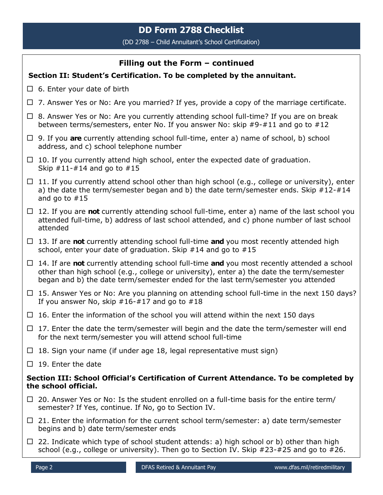# **DD Form 2788 Checklist**

(DD 2788 – Child Annuitant's School Certification)

# **Filling out the Form – continued Section II: Student's Certification. To be completed by the annuitant.**  $\Box$  6. Enter your date of birth  $\Box$  7. Answer Yes or No: Are you married? If yes, provide a copy of the marriage certificate.  $\Box$  8. Answer Yes or No: Are you currently attending school full-time? If you are on break between terms/semesters, enter No. If you answer No: skip #9-#11 and go to #12 9. If you **are** currently attending school full-time, enter a) name of school, b) school address, and c) school telephone number  $\Box$  10. If you currently attend high school, enter the expected date of graduation. Skip  $\#11 - #14$  and go to  $\#15$  $\Box$  11. If you currently attend school other than high school (e.g., college or university), enter a) the date the term/semester began and b) the date term/semester ends. Skip #12-#14 and go to  $#15$ □ 12. If you are **not** currently attending school full-time, enter a) name of the last school you attended full-time, b) address of last school attended, and c) phone number of last school attended 13. If are **not** currently attending school full-time **and** you most recently attended high school, enter your date of graduation. Skip #14 and go to #15 14. If are **not** currently attending school full-time **and** you most recently attended a school other than high school (e.g., college or university), enter a) the date the term/semester began and b) the date term/semester ended for the last term/semester you attended  $\Box$  15. Answer Yes or No: Are you planning on attending school full-time in the next 150 days? If you answer No, skip  $#16-#17$  and go to  $#18$  $\Box$  16. Enter the information of the school you will attend within the next 150 days  $\Box$  17. Enter the date the term/semester will begin and the date the term/semester will end for the next term/semester you will attend school full-time  $\Box$  18. Sign your name (if under age 18, legal representative must sign)  $\Box$  19. Enter the date **Section III: School Official's Certification of Current Attendance. To be completed by the school official.**   $\Box$  20. Answer Yes or No: Is the student enrolled on a full-time basis for the entire term/ semester? If Yes, continue. If No, go to Section IV.  $\Box$  21. Enter the information for the current school term/semester: a) date term/semester begins and b) date term/semester ends  $\Box$  22. Indicate which type of school student attends: a) high school or b) other than high school (e.g., college or university). Then go to Section IV. Skip #23-#25 and go to #26.